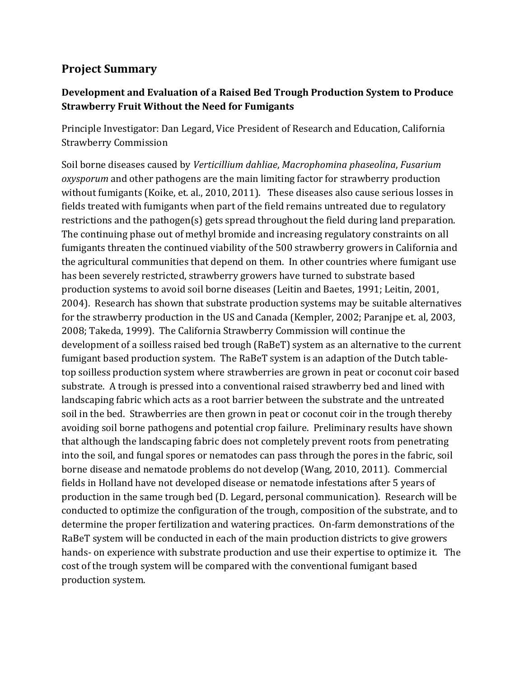## **Project Summary**

## **Development and Evaluation of a Raised Bed Trough Production System to Produce Strawberry Fruit Without the Need for Fumigants**

Principle Investigator: Dan Legard, Vice President of Research and Education, California Strawberry Commission

Soil borne diseases caused by *Verticillium dahliae*, *Macrophomina phaseolina*, *Fusarium oxysporum* and other pathogens are the main limiting factor for strawberry production without fumigants (Koike, et. al., 2010, 2011). These diseases also cause serious losses in fields treated with fumigants when part of the field remains untreated due to regulatory restrictions and the pathogen(s) gets spread throughout the field during land preparation. The continuing phase out of methyl bromide and increasing regulatory constraints on all fumigants threaten the continued viability of the 500 strawberry growers in California and the agricultural communities that depend on them. In other countries where fumigant use has been severely restricted, strawberry growers have turned to substrate based production systems to avoid soil borne diseases (Leitin and Baetes, 1991; Leitin, 2001, 2004). Research has shown that substrate production systems may be suitable alternatives for the strawberry production in the US and Canada (Kempler, 2002; Paranjpe et. al, 2003, 2008; Takeda, 1999). The California Strawberry Commission will continue the development of a soilless raised bed trough (RaBeT) system as an alternative to the current fumigant based production system. The RaBeT system is an adaption of the Dutch tabletop soilless production system where strawberries are grown in peat or coconut coir based substrate. A trough is pressed into a conventional raised strawberry bed and lined with landscaping fabric which acts as a root barrier between the substrate and the untreated soil in the bed. Strawberries are then grown in peat or coconut coir in the trough thereby avoiding soil borne pathogens and potential crop failure. Preliminary results have shown that although the landscaping fabric does not completely prevent roots from penetrating into the soil, and fungal spores or nematodes can pass through the pores in the fabric, soil borne disease and nematode problems do not develop (Wang, 2010, 2011). Commercial fields in Holland have not developed disease or nematode infestations after 5 years of production in the same trough bed (D. Legard, personal communication). Research will be conducted to optimize the configuration of the trough, composition of the substrate, and to determine the proper fertilization and watering practices. On-farm demonstrations of the RaBeT system will be conducted in each of the main production districts to give growers hands- on experience with substrate production and use their expertise to optimize it. The cost of the trough system will be compared with the conventional fumigant based production system.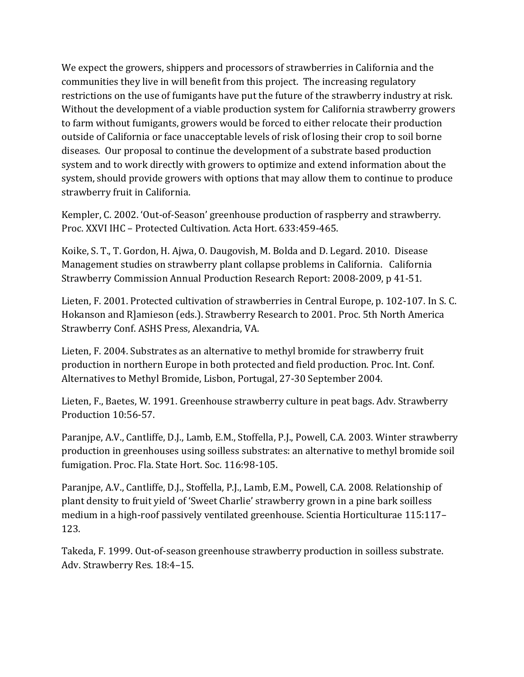We expect the growers, shippers and processors of strawberries in California and the communities they live in will benefit from this project. The increasing regulatory restrictions on the use of fumigants have put the future of the strawberry industry at risk. Without the development of a viable production system for California strawberry growers to farm without fumigants, growers would be forced to either relocate their production outside of California or face unacceptable levels of risk of losing their crop to soil borne diseases. Our proposal to continue the development of a substrate based production system and to work directly with growers to optimize and extend information about the system, should provide growers with options that may allow them to continue to produce strawberry fruit in California.

Kempler, C. 2002. 'Out-of-Season' greenhouse production of raspberry and strawberry. Proc. XXVI IHC – Protected Cultivation. Acta Hort. 633:459-465.

Koike, S. T., T. Gordon, H. Ajwa, O. Daugovish, M. Bolda and D. Legard. 2010. Disease Management studies on strawberry plant collapse problems in California. California Strawberry Commission Annual Production Research Report: 2008-2009, p 41-51.

Lieten, F. 2001. Protected cultivation of strawberries in Central Europe, p. 102-107. In S. C. Hokanson and R]amieson (eds.). Strawberry Research to 2001. Proc. 5th North America Strawberry Conf. ASHS Press, Alexandria, VA.

Lieten, F. 2004. Substrates as an alternative to methyl bromide for strawberry fruit production in northern Europe in both protected and field production. Proc. Int. Conf. Alternatives to Methyl Bromide, Lisbon, Portugal, 27-30 September 2004.

Lieten, F., Baetes, W. 1991. Greenhouse strawberry culture in peat bags. Adv. Strawberry Production 10:56-57.

Paranjpe, A.V., Cantliffe, D.J., Lamb, E.M., Stoffella, P.J., Powell, C.A. 2003. Winter strawberry production in greenhouses using soilless substrates: an alternative to methyl bromide soil fumigation. Proc. Fla. State Hort. Soc. 116:98-105.

Paranjpe, A.V., Cantliffe, D.J., Stoffella, P.J., Lamb, E.M., Powell, C.A. 2008. Relationship of plant density to fruit yield of 'Sweet Charlie' strawberry grown in a pine bark soilless medium in a high-roof passively ventilated greenhouse. Scientia Horticulturae 115:117– 123.

Takeda, F. 1999. Out-of-season greenhouse strawberry production in soilless substrate. Adv. Strawberry Res. 18:4–15.